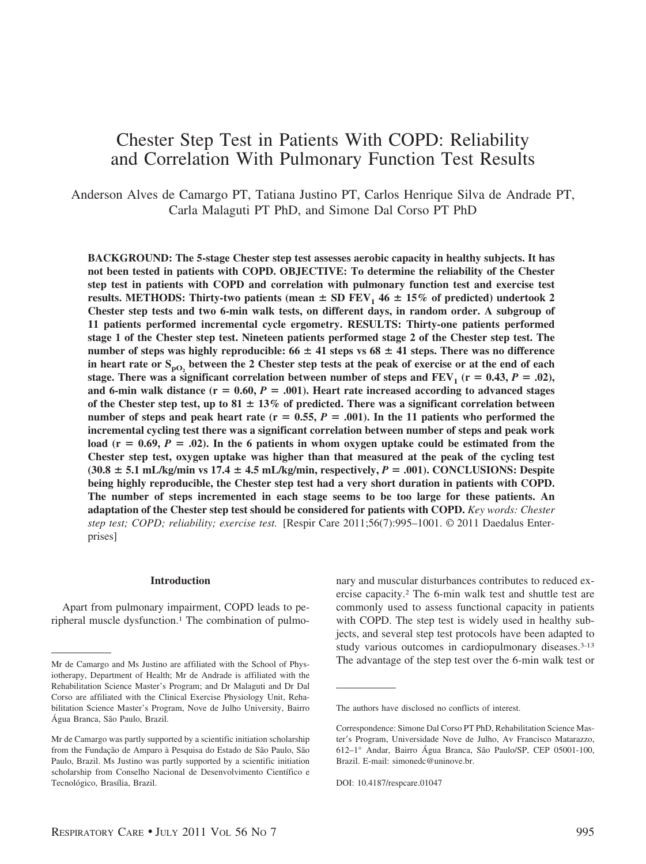# Chester Step Test in Patients With COPD: Reliability and Correlation With Pulmonary Function Test Results

Anderson Alves de Camargo PT, Tatiana Justino PT, Carlos Henrique Silva de Andrade PT, Carla Malaguti PT PhD, and Simone Dal Corso PT PhD

**BACKGROUND: The 5-stage Chester step test assesses aerobic capacity in healthy subjects. It has not been tested in patients with COPD. OBJECTIVE: To determine the reliability of the Chester step test in patients with COPD and correlation with pulmonary function test and exercise test results. METHODS:** Thirty-two patients (mean  $\pm$  SD FEV<sub>1</sub> 46  $\pm$  15% of predicted) undertook 2 **Chester step tests and two 6-min walk tests, on different days, in random order. A subgroup of 11 patients performed incremental cycle ergometry. RESULTS: Thirty-one patients performed stage 1 of the Chester step test. Nineteen patients performed stage 2 of the Chester step test. The** number of steps was highly reproducible:  $66 \pm 41$  steps vs  $68 \pm 41$  steps. There was no difference in heart rate or S<sub>pO<sub>2</sub> between the 2 Chester step tests at the peak of exercise or at the end of each</sub> stage. There was a significant correlation between number of steps and  $\text{FEV}_1$  ( $\text{r} = 0.43, P = .02$ ), and 6-min walk distance  $(r = 0.60, P = .001)$ . Heart rate increased according to advanced stages of the Chester step test, up to  $81 \pm 13\%$  of predicted. There was a significant correlation between number of steps and peak heart rate  $(r = 0.55, P = .001)$ . In the 11 patients who performed the **incremental cycling test there was a significant correlation between number of steps and peak work** load ( $r = 0.69$ ,  $P = 0.02$ ). In the 6 patients in whom oxygen uptake could be estimated from the **Chester step test, oxygen uptake was higher than that measured at the peak of the cycling test**  $(30.8 \pm 5.1 \text{ mL/kg/min vs } 17.4 \pm 4.5 \text{ mL/kg/min, respectively}, P = .001)$ . CONCLUSIONS: Despite **being highly reproducible, the Chester step test had a very short duration in patients with COPD. The number of steps incremented in each stage seems to be too large for these patients. An adaptation of the Chester step test should be considered for patients with COPD.** *Key words: Chester step test; COPD; reliability; exercise test.* [Respir Care 2011;56(7):995–1001. © 2011 Daedalus Enterprises]

## **Introduction**

Apart from pulmonary impairment, COPD leads to peripheral muscle dysfunction.<sup>1</sup> The combination of pulmo-

nary and muscular disturbances contributes to reduced exercise capacity.2 The 6-min walk test and shuttle test are commonly used to assess functional capacity in patients with COPD. The step test is widely used in healthy subjects, and several step test protocols have been adapted to study various outcomes in cardiopulmonary diseases.<sup>3-13</sup> Mr de Camargo and Ms Justino are affiliated with the School of Phys- The advantage of the step test over the 6-min walk test or

iotherapy, Department of Health; Mr de Andrade is affiliated with the Rehabilitation Science Master's Program; and Dr Malaguti and Dr Dal Corso are affiliated with the Clinical Exercise Physiology Unit, Rehabilitation Science Master's Program, Nove de Julho University, Bairro Água Branca, São Paulo, Brazil.

Mr de Camargo was partly supported by a scientific initiation scholarship from the Fundação de Amparo à Pesquisa do Estado de São Paulo, São Paulo, Brazil. Ms Justino was partly supported by a scientific initiation scholarship from Conselho Nacional de Desenvolvimento Científico e Tecnológico, Brasília, Brazil.

The authors have disclosed no conflicts of interest.

Correspondence: Simone Dal Corso PT PhD, Rehabilitation Science Master's Program, Universidade Nove de Julho, Av Francisco Matarazzo, 612–1° Andar, Bairro Água Branca, São Paulo/SP, CEP 05001-100, Brazil. E-mail: simonedc@uninove.br.

DOI: 10.4187/respcare.01047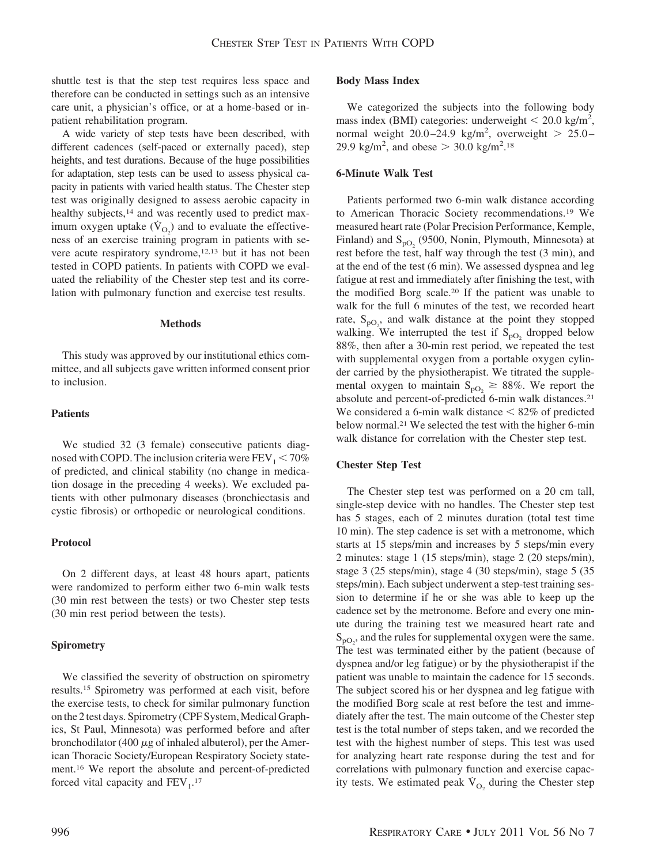shuttle test is that the step test requires less space and therefore can be conducted in settings such as an intensive care unit, a physician's office, or at a home-based or inpatient rehabilitation program.

A wide variety of step tests have been described, with different cadences (self-paced or externally paced), step heights, and test durations. Because of the huge possibilities for adaptation, step tests can be used to assess physical capacity in patients with varied health status. The Chester step test was originally designed to assess aerobic capacity in healthy subjects,<sup>14</sup> and was recently used to predict maximum oxygen uptake  $(\dot{V}_{O_2})$  and to evaluate the effectiveness of an exercise training program in patients with severe acute respiratory syndrome,<sup>12,13</sup> but it has not been tested in COPD patients. In patients with COPD we evaluated the reliability of the Chester step test and its correlation with pulmonary function and exercise test results.

#### **Methods**

This study was approved by our institutional ethics committee, and all subjects gave written informed consent prior to inclusion.

## **Patients**

We studied 32 (3 female) consecutive patients diagnosed with COPD. The inclusion criteria were  $FEV<sub>1</sub> < 70\%$ of predicted, and clinical stability (no change in medication dosage in the preceding 4 weeks). We excluded patients with other pulmonary diseases (bronchiectasis and cystic fibrosis) or orthopedic or neurological conditions.

## **Protocol**

On 2 different days, at least 48 hours apart, patients were randomized to perform either two 6-min walk tests (30 min rest between the tests) or two Chester step tests (30 min rest period between the tests).

## **Spirometry**

We classified the severity of obstruction on spirometry results.15 Spirometry was performed at each visit, before the exercise tests, to check for similar pulmonary function on the 2 test days. Spirometry (CPF System, Medical Graphics, St Paul, Minnesota) was performed before and after bronchodilator (400  $\mu$ g of inhaled albuterol), per the American Thoracic Society/European Respiratory Society statement.16 We report the absolute and percent-of-predicted forced vital capacity and  $FEV<sub>1</sub>$ .<sup>17</sup>

# **Body Mass Index**

We categorized the subjects into the following body mass index (BMI) categories: underweight  $<$  20.0 kg/m<sup>2</sup>, normal weight  $20.0-24.9$  kg/m<sup>2</sup>, overweight  $> 25.0-$ 29.9 kg/m<sup>2</sup>, and obese  $> 30.0$  kg/m<sup>2</sup>.<sup>18</sup>

# **6-Minute Walk Test**

Patients performed two 6-min walk distance according to American Thoracic Society recommendations.19 We measured heart rate (Polar Precision Performance, Kemple, Finland) and  $S_{\text{pO}_2}$  (9500, Nonin, Plymouth, Minnesota) at rest before the test, half way through the test (3 min), and at the end of the test (6 min). We assessed dyspnea and leg fatigue at rest and immediately after finishing the test, with the modified Borg scale.20 If the patient was unable to walk for the full 6 minutes of the test, we recorded heart rate,  $S_{pQ_2}$ , and walk distance at the point they stopped walking. We interrupted the test if  $S_{pQ}$  dropped below 88%, then after a 30-min rest period, we repeated the test with supplemental oxygen from a portable oxygen cylinder carried by the physiotherapist. We titrated the supplemental oxygen to maintain  $S_{pO_2} \ge 88\%$ . We report the absolute and percent-of-predicted 6-min walk distances.<sup>21</sup> We considered a 6-min walk distance  $\leq 82\%$  of predicted below normal.21 We selected the test with the higher 6-min walk distance for correlation with the Chester step test.

# **Chester Step Test**

The Chester step test was performed on a 20 cm tall, single-step device with no handles. The Chester step test has 5 stages, each of 2 minutes duration (total test time 10 min). The step cadence is set with a metronome, which starts at 15 steps/min and increases by 5 steps/min every 2 minutes: stage 1 (15 steps/min), stage 2 (20 steps/min), stage 3 (25 steps/min), stage 4 (30 steps/min), stage 5 (35 steps/min). Each subject underwent a step-test training session to determine if he or she was able to keep up the cadence set by the metronome. Before and every one minute during the training test we measured heart rate and  $S_{pO_2}$ , and the rules for supplemental oxygen were the same. The test was terminated either by the patient (because of dyspnea and/or leg fatigue) or by the physiotherapist if the patient was unable to maintain the cadence for 15 seconds. The subject scored his or her dyspnea and leg fatigue with the modified Borg scale at rest before the test and immediately after the test. The main outcome of the Chester step test is the total number of steps taken, and we recorded the test with the highest number of steps. This test was used for analyzing heart rate response during the test and for correlations with pulmonary function and exercise capacity tests. We estimated peak  $\dot{V}_{O_2}$  during the Chester step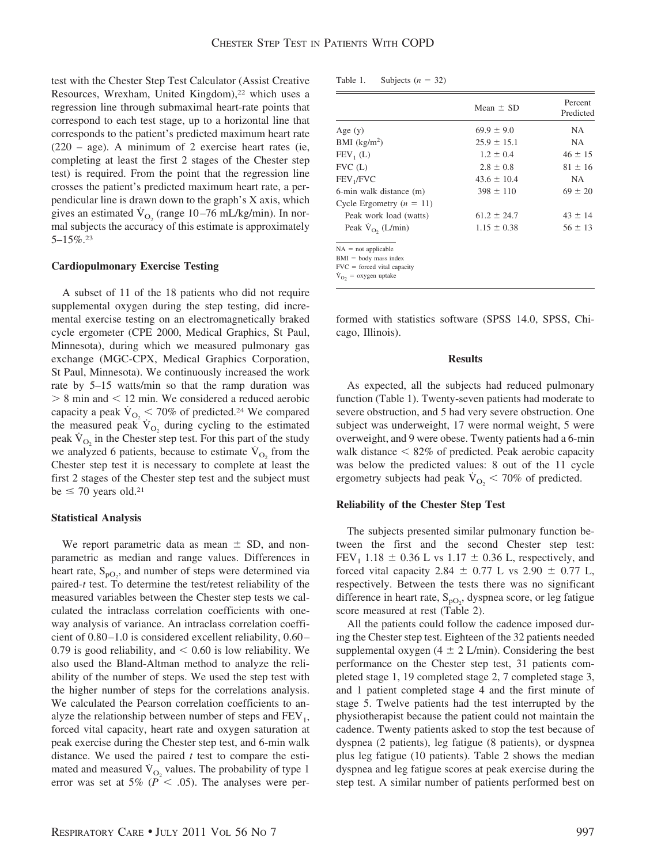test with the Chester Step Test Calculator (Assist Creative Resources, Wrexham, United Kingdom),<sup>22</sup> which uses a regression line through submaximal heart-rate points that correspond to each test stage, up to a horizontal line that corresponds to the patient's predicted maximum heart rate (220 – age). A minimum of 2 exercise heart rates (ie, completing at least the first 2 stages of the Chester step test) is required. From the point that the regression line crosses the patient's predicted maximum heart rate, a perpendicular line is drawn down to the graph's X axis, which gives an estimated  $\dot{V}_{O_2}$  (range 10–76 mL/kg/min). In normal subjects the accuracy of this estimate is approximately  $5 - 15\%$ <sup>23</sup>

# **Cardiopulmonary Exercise Testing**

A subset of 11 of the 18 patients who did not require supplemental oxygen during the step testing, did incremental exercise testing on an electromagnetically braked cycle ergometer (CPE 2000, Medical Graphics, St Paul, Minnesota), during which we measured pulmonary gas exchange (MGC-CPX, Medical Graphics Corporation, St Paul, Minnesota). We continuously increased the work rate by 5–15 watts/min so that the ramp duration was  $> 8$  min and  $< 12$  min. We considered a reduced aerobic capacity a peak  $\dot{V}_{O_2}$  < 70% of predicted.<sup>24</sup> We compared the measured peak  $V_{O_2}$  during cycling to the estimated peak  $\dot{V}_{\Omega}$  in the Chester step test. For this part of the study we analyzed 6 patients, because to estimate  $V_{\text{O}_2}$  from the Chester step test it is necessary to complete at least the first 2 stages of the Chester step test and the subject must be  $\leq$  70 years old.<sup>21</sup>

#### **Statistical Analysis**

We report parametric data as mean  $\pm$  SD, and nonparametric as median and range values. Differences in heart rate,  $S_{pO_2}$ , and number of steps were determined via paired-*t* test. To determine the test/retest reliability of the measured variables between the Chester step tests we calculated the intraclass correlation coefficients with oneway analysis of variance. An intraclass correlation coefficient of 0.80–1.0 is considered excellent reliability, 0.60– 0.79 is good reliability, and  $< 0.60$  is low reliability. We also used the Bland-Altman method to analyze the reliability of the number of steps. We used the step test with the higher number of steps for the correlations analysis. We calculated the Pearson correlation coefficients to analyze the relationship between number of steps and  $FEV<sub>1</sub>$ , forced vital capacity, heart rate and oxygen saturation at peak exercise during the Chester step test, and 6-min walk distance. We used the paired *t* test to compare the estimated and measured  $\dot{V}_{O_2}$  values. The probability of type 1 error was set at 5% ( $P < .05$ ). The analyses were per-

| Table 1. | Subjects ( $n =$ |  | 32) |
|----------|------------------|--|-----|
|----------|------------------|--|-----|

|                                                                                                               | Mean $\pm$ SD   | Percent<br>Predicted |  |
|---------------------------------------------------------------------------------------------------------------|-----------------|----------------------|--|
| Age $(y)$                                                                                                     | $69.9 \pm 9.0$  | NA.                  |  |
| BMI $(kg/m2)$                                                                                                 | $25.9 \pm 15.1$ | NA.                  |  |
| $FEV_1(L)$                                                                                                    | $1.2 \pm 0.4$   | $46 \pm 15$          |  |
| $FVC$ (L)                                                                                                     | $2.8 \pm 0.8$   | $81 \pm 16$          |  |
| FEV <sub>1</sub> /FVC                                                                                         | $43.6 \pm 10.4$ | NA.                  |  |
| 6-min walk distance (m)                                                                                       | $398 \pm 110$   | $69 \pm 20$          |  |
| Cycle Ergometry $(n = 11)$                                                                                    |                 |                      |  |
| Peak work load (watts)                                                                                        | $61.2 \pm 24.7$ | $43 \pm 14$          |  |
| Peak $V_{O_2}$ (L/min)                                                                                        | $1.15 \pm 0.38$ | $56 \pm 13$          |  |
| $NA = not applicable$<br>$BMI = body$ mass index<br>$FVC = forced vital capacity$<br>$V_{O2}$ = oxygen uptake |                 |                      |  |

formed with statistics software (SPSS 14.0, SPSS, Chicago, Illinois).

## **Results**

As expected, all the subjects had reduced pulmonary function (Table 1). Twenty-seven patients had moderate to severe obstruction, and 5 had very severe obstruction. One subject was underweight, 17 were normal weight, 5 were overweight, and 9 were obese. Twenty patients had a 6-min walk distance < 82% of predicted. Peak aerobic capacity was below the predicted values: 8 out of the 11 cycle ergometry subjects had peak  $\dot{V}_{O_2}$  < 70% of predicted.

# **Reliability of the Chester Step Test**

The subjects presented similar pulmonary function between the first and the second Chester step test:  $FEV_1$  1.18  $\pm$  0.36 L vs 1.17  $\pm$  0.36 L, respectively, and forced vital capacity 2.84  $\pm$  0.77 L vs 2.90  $\pm$  0.77 L, respectively. Between the tests there was no significant difference in heart rate,  $S_{pO_2}$ , dyspnea score, or leg fatigue score measured at rest (Table 2).

All the patients could follow the cadence imposed during the Chester step test. Eighteen of the 32 patients needed supplemental oxygen (4  $\pm$  2 L/min). Considering the best performance on the Chester step test, 31 patients completed stage 1, 19 completed stage 2, 7 completed stage 3, and 1 patient completed stage 4 and the first minute of stage 5. Twelve patients had the test interrupted by the physiotherapist because the patient could not maintain the cadence. Twenty patients asked to stop the test because of dyspnea (2 patients), leg fatigue (8 patients), or dyspnea plus leg fatigue (10 patients). Table 2 shows the median dyspnea and leg fatigue scores at peak exercise during the step test. A similar number of patients performed best on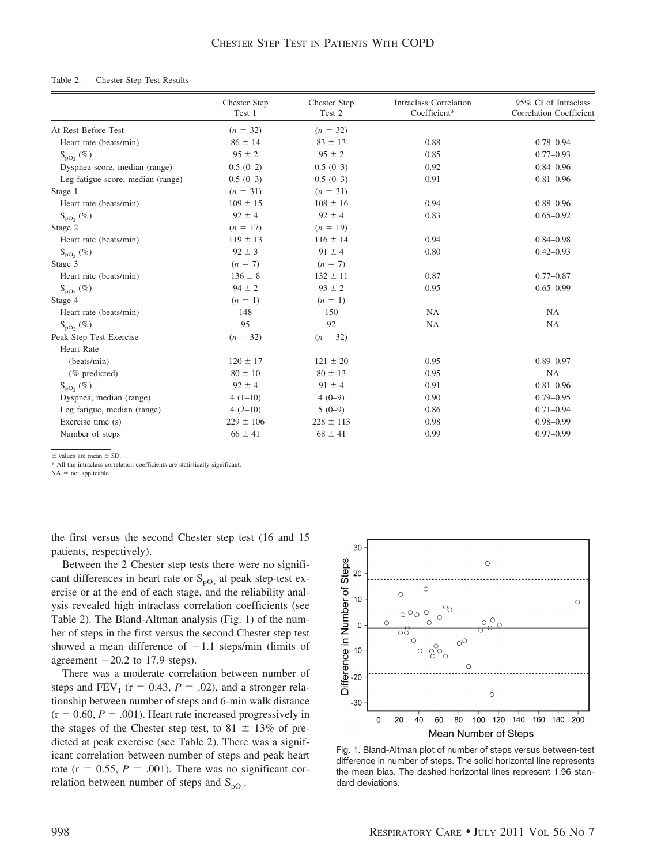### Table 2. Chester Step Test Results

|                                   | Chester Step<br>Test 1 | Chester Step<br>Test 2 | <b>Intraclass Correlation</b><br>Coefficient* | 95% CI of Intraclass<br>Correlation Coefficient |
|-----------------------------------|------------------------|------------------------|-----------------------------------------------|-------------------------------------------------|
| At Rest Before Test               | $(n = 32)$             | $(n = 32)$             |                                               |                                                 |
| Heart rate (beats/min)            | $86 \pm 14$            | $83 \pm 13$            | 0.88                                          | $0.78 - 0.94$                                   |
| $S_{\text{pO}}$ , $(\%)$          | $95 \pm 2$             | $95 \pm 2$             | 0.85                                          | $0.77 - 0.93$                                   |
| Dyspnea score, median (range)     | $0.5(0-2)$             | $0.5(0-3)$             | 0.92                                          | $0.84 - 0.96$                                   |
| Leg fatigue score, median (range) | $0.5(0-3)$             | $0.5(0-3)$             | 0.91                                          | $0.81 - 0.96$                                   |
| Stage 1                           | $(n = 31)$             | $(n = 31)$             |                                               |                                                 |
| Heart rate (beats/min)            | $109 \pm 15$           | $108 \pm 16$           | 0.94                                          | $0.88 - 0.96$                                   |
| $S_{pO_2}(\%)$                    | $92 \pm 4$             | $92 \pm 4$             | 0.83                                          | $0.65 - 0.92$                                   |
| Stage 2                           | $(n = 17)$             | $(n = 19)$             |                                               |                                                 |
| Heart rate (beats/min)            | $119 \pm 13$           | $116 \pm 14$           | 0.94                                          | $0.84 - 0.98$                                   |
| $S_{\text{pO}_2}$ (%)             | $92 \pm 3$             | $91 \pm 4$             | 0.80                                          | $0.42 - 0.93$                                   |
| Stage 3                           | $(n = 7)$              | $(n = 7)$              |                                               |                                                 |
| Heart rate (beats/min)            | $136 \pm 8$            | $132 \pm 11$           | 0.87                                          | $0.77 - 0.87$                                   |
| $S_{\text{pO}}$ , $(\%)$          | $94 \pm 2$             | $93 \pm 2$             | 0.95                                          | $0.65 - 0.99$                                   |
| Stage 4                           | $(n = 1)$              | $(n = 1)$              |                                               |                                                 |
| Heart rate (beats/min)            | 148                    | 150                    | <b>NA</b>                                     | NA                                              |
| $S_{\text{pO}}$ , $(\%)$          | 95                     | 92                     | <b>NA</b>                                     | <b>NA</b>                                       |
| Peak Step-Test Exercise           | $(n = 32)$             | $(n = 32)$             |                                               |                                                 |
| <b>Heart Rate</b>                 |                        |                        |                                               |                                                 |
| (beats/min)                       | $120 \pm 17$           | $121 \pm 20$           | 0.95                                          | $0.89 - 0.97$                                   |
| (% predicted)                     | $80 \pm 10$            | $80 \pm 13$            | 0.95                                          | NA                                              |
| $S_{\text{DO}}$ , $(\%)$          | $92 \pm 4$             | $91 \pm 4$             | 0.91                                          | $0.81 - 0.96$                                   |
| Dyspnea, median (range)           | $4(1-10)$              | $4(0-9)$               | 0.90                                          | $0.79 - 0.95$                                   |
| Leg fatigue, median (range)       | $4(2-10)$              | $5(0-9)$               | 0.86                                          | $0.71 - 0.94$                                   |
| Exercise time (s)                 | $229 \pm 106$          | $228 \pm 113$          | 0.98                                          | $0.98 - 0.99$                                   |
| Number of steps                   | $66 \pm 41$            | $68 \pm 41$            | 0.99                                          | $0.97 - 0.99$                                   |
| $+$ values are mean $+$ SD        |                        |                        |                                               |                                                 |

\* All the intraclass correlation coefficients are statistically significant.

 $NA = not applicable$ 

the first versus the second Chester step test (16 and 15 patients, respectively).

Between the 2 Chester step tests there were no significant differences in heart rate or  $S_{pO_2}$  at peak step-test exercise or at the end of each stage, and the reliability analysis revealed high intraclass correlation coefficients (see Table 2). The Bland-Altman analysis (Fig. 1) of the number of steps in the first versus the second Chester step test showed a mean difference of  $-1.1$  steps/min (limits of agreement  $-20.2$  to 17.9 steps).

There was a moderate correlation between number of steps and  $FEV_1$  ( $r = 0.43$ ,  $P = .02$ ), and a stronger relationship between number of steps and 6-min walk distance  $(r = 0.60, P = .001)$ . Heart rate increased progressively in the stages of the Chester step test, to 81  $\pm$  13% of predicted at peak exercise (see Table 2). There was a significant correlation between number of steps and peak heart rate ( $r = 0.55$ ,  $P = .001$ ). There was no significant correlation between number of steps and  $S_{pQ_2}$ .



Fig. 1. Bland-Altman plot of number of steps versus between-test difference in number of steps. The solid horizontal line represents the mean bias. The dashed horizontal lines represent 1.96 standard deviations.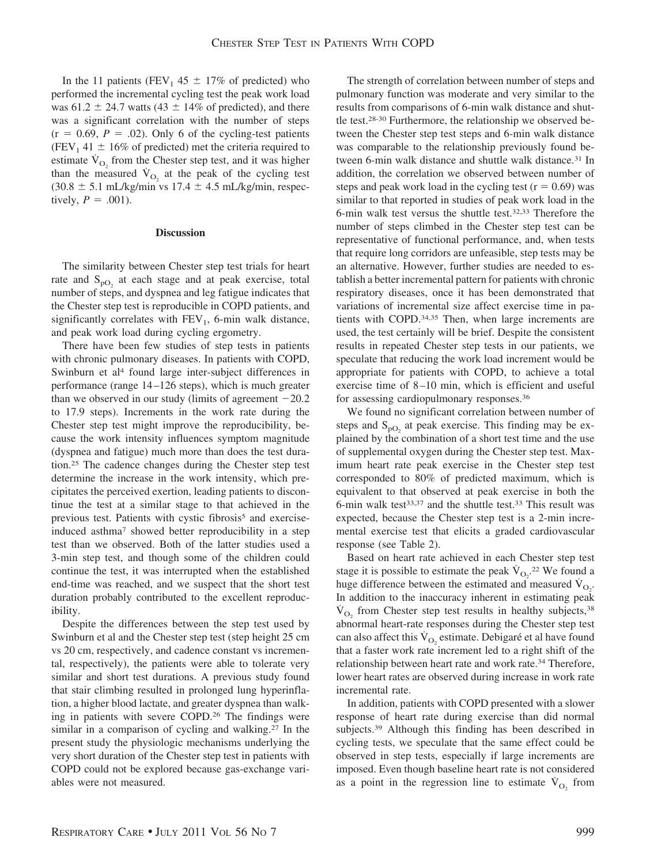In the 11 patients (FEV<sub>1</sub> 45  $\pm$  17% of predicted) who performed the incremental cycling test the peak work load was 61.2  $\pm$  24.7 watts (43  $\pm$  14% of predicted), and there was a significant correlation with the number of steps  $(r = 0.69, P = .02)$ . Only 6 of the cycling-test patients (FEV<sub>1</sub> 41  $\pm$  16% of predicted) met the criteria required to estimate  $\dot{V}_{O_2}$  from the Chester step test, and it was higher than the measured  $\dot{V}_{O_2}$  at the peak of the cycling test  $(30.8 \pm 5.1 \text{ mL/kg/min vs } 17.4 \pm 4.5 \text{ mL/kg/min, respec-}$ tively,  $P = .001$ ).

## **Discussion**

The similarity between Chester step test trials for heart rate and  $S_{pQ}$  at each stage and at peak exercise, total number of steps, and dyspnea and leg fatigue indicates that the Chester step test is reproducible in COPD patients, and significantly correlates with  $FEV<sub>1</sub>$ , 6-min walk distance, and peak work load during cycling ergometry.

There have been few studies of step tests in patients with chronic pulmonary diseases. In patients with COPD, Swinburn et al<sup>4</sup> found large inter-subject differences in performance (range 14–126 steps), which is much greater than we observed in our study (limits of agreement  $-20.2$ ) to 17.9 steps). Increments in the work rate during the Chester step test might improve the reproducibility, because the work intensity influences symptom magnitude (dyspnea and fatigue) much more than does the test duration.25 The cadence changes during the Chester step test determine the increase in the work intensity, which precipitates the perceived exertion, leading patients to discontinue the test at a similar stage to that achieved in the previous test. Patients with cystic fibrosis<sup>5</sup> and exerciseinduced asthma7 showed better reproducibility in a step test than we observed. Both of the latter studies used a 3-min step test, and though some of the children could continue the test, it was interrupted when the established end-time was reached, and we suspect that the short test duration probably contributed to the excellent reproducibility.

Despite the differences between the step test used by Swinburn et al and the Chester step test (step height 25 cm vs 20 cm, respectively, and cadence constant vs incremental, respectively), the patients were able to tolerate very similar and short test durations. A previous study found that stair climbing resulted in prolonged lung hyperinflation, a higher blood lactate, and greater dyspnea than walking in patients with severe COPD.26 The findings were similar in a comparison of cycling and walking.27 In the present study the physiologic mechanisms underlying the very short duration of the Chester step test in patients with COPD could not be explored because gas-exchange variables were not measured.

The strength of correlation between number of steps and pulmonary function was moderate and very similar to the results from comparisons of 6-min walk distance and shuttle test.28-30 Furthermore, the relationship we observed between the Chester step test steps and 6-min walk distance was comparable to the relationship previously found between 6-min walk distance and shuttle walk distance.<sup>31</sup> In addition, the correlation we observed between number of steps and peak work load in the cycling test  $(r = 0.69)$  was similar to that reported in studies of peak work load in the 6-min walk test versus the shuttle test.32,33 Therefore the number of steps climbed in the Chester step test can be representative of functional performance, and, when tests that require long corridors are unfeasible, step tests may be an alternative. However, further studies are needed to establish a better incremental pattern for patients with chronic respiratory diseases, once it has been demonstrated that variations of incremental size affect exercise time in patients with COPD.34,35 Then, when large increments are used, the test certainly will be brief. Despite the consistent results in repeated Chester step tests in our patients, we speculate that reducing the work load increment would be appropriate for patients with COPD, to achieve a total exercise time of 8–10 min, which is efficient and useful for assessing cardiopulmonary responses.36

We found no significant correlation between number of steps and  $S_{\text{pO}_2}$  at peak exercise. This finding may be explained by the combination of a short test time and the use of supplemental oxygen during the Chester step test. Maximum heart rate peak exercise in the Chester step test corresponded to 80% of predicted maximum, which is equivalent to that observed at peak exercise in both the 6-min walk test $33,37$  and the shuttle test.<sup>33</sup> This result was expected, because the Chester step test is a 2-min incremental exercise test that elicits a graded cardiovascular response (see Table 2).

Based on heart rate achieved in each Chester step test stage it is possible to estimate the peak  $\dot{V}_{O_2}$ <sup>22</sup> We found a huge difference between the estimated and measured  $\dot{V}_{O_2}$ . In addition to the inaccuracy inherent in estimating peak  $\dot{V}_{\Omega}$  from Chester step test results in healthy subjects, 38 abnormal heart-rate responses during the Chester step test can also affect this  $\dot{V}_{O_2}$  estimate. Debigare et al have found that a faster work rate increment led to a right shift of the relationship between heart rate and work rate.34 Therefore, lower heart rates are observed during increase in work rate incremental rate.

In addition, patients with COPD presented with a slower response of heart rate during exercise than did normal subjects.39 Although this finding has been described in cycling tests, we speculate that the same effect could be observed in step tests, especially if large increments are imposed. Even though baseline heart rate is not considered as a point in the regression line to estimate  $\dot{V}_{O_2}$  from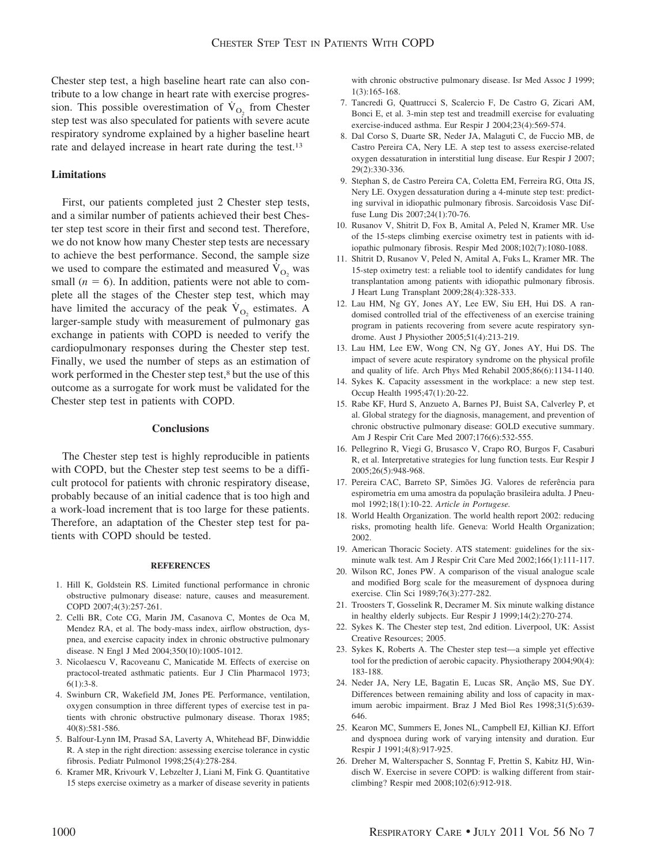Chester step test, a high baseline heart rate can also contribute to a low change in heart rate with exercise progression. This possible overestimation of  $\dot{V}_{O_2}$  from Chester step test was also speculated for patients with severe acute respiratory syndrome explained by a higher baseline heart rate and delayed increase in heart rate during the test.13

# **Limitations**

First, our patients completed just 2 Chester step tests, and a similar number of patients achieved their best Chester step test score in their first and second test. Therefore, we do not know how many Chester step tests are necessary to achieve the best performance. Second, the sample size we used to compare the estimated and measured  $\dot{V}_{O_2}$  was small  $(n = 6)$ . In addition, patients were not able to complete all the stages of the Chester step test, which may have limited the accuracy of the peak  $V_{\text{O}_2}$  estimates. A larger-sample study with measurement of pulmonary gas exchange in patients with COPD is needed to verify the cardiopulmonary responses during the Chester step test. Finally, we used the number of steps as an estimation of work performed in the Chester step test,<sup>8</sup> but the use of this outcome as a surrogate for work must be validated for the Chester step test in patients with COPD.

# **Conclusions**

The Chester step test is highly reproducible in patients with COPD, but the Chester step test seems to be a difficult protocol for patients with chronic respiratory disease, probably because of an initial cadence that is too high and a work-load increment that is too large for these patients. Therefore, an adaptation of the Chester step test for patients with COPD should be tested.

## **REFERENCES**

- 1. Hill K, Goldstein RS. Limited functional performance in chronic obstructive pulmonary disease: nature, causes and measurement. COPD 2007;4(3):257-261.
- 2. Celli BR, Cote CG, Marin JM, Casanova C, Montes de Oca M, Mendez RA, et al. The body-mass index, airflow obstruction, dyspnea, and exercise capacity index in chronic obstructive pulmonary disease. N Engl J Med 2004;350(10):1005-1012.
- 3. Nicolaescu V, Racoveanu C, Manicatide M. Effects of exercise on practocol-treated asthmatic patients. Eur J Clin Pharmacol 1973;  $6(1):3-8.$
- 4. Swinburn CR, Wakefield JM, Jones PE. Performance, ventilation, oxygen consumption in three different types of exercise test in patients with chronic obstructive pulmonary disease. Thorax 1985; 40(8):581-586.
- 5. Balfour-Lynn IM, Prasad SA, Laverty A, Whitehead BF, Dinwiddie R. A step in the right direction: assessing exercise tolerance in cystic fibrosis. Pediatr Pulmonol 1998;25(4):278-284.
- 6. Kramer MR, Krivourk V, Lebzelter J, Liani M, Fink G. Quantitative 15 steps exercise oximetry as a marker of disease severity in patients

with chronic obstructive pulmonary disease. Isr Med Assoc J 1999; 1(3):165-168.

- 7. Tancredi G, Quattrucci S, Scalercio F, De Castro G, Zicari AM, Bonci E, et al. 3-min step test and treadmill exercise for evaluating exercise-induced asthma. Eur Respir J 2004;23(4):569-574.
- 8. Dal Corso S, Duarte SR, Neder JA, Malaguti C, de Fuccio MB, de Castro Pereira CA, Nery LE. A step test to assess exercise-related oxygen dessaturation in interstitial lung disease. Eur Respir J 2007; 29(2):330-336.
- 9. Stephan S, de Castro Pereira CA, Coletta EM, Ferreira RG, Otta JS, Nery LE. Oxygen dessaturation during a 4-minute step test: predicting survival in idiopathic pulmonary fibrosis. Sarcoidosis Vasc Diffuse Lung Dis 2007;24(1):70-76.
- 10. Rusanov V, Shitrit D, Fox B, Amital A, Peled N, Kramer MR. Use of the 15-steps climbing exercise oximetry test in patients with idiopathic pulmonary fibrosis. Respir Med 2008;102(7):1080-1088.
- 11. Shitrit D, Rusanov V, Peled N, Amital A, Fuks L, Kramer MR. The 15-step oximetry test: a reliable tool to identify candidates for lung transplantation among patients with idiopathic pulmonary fibrosis. J Heart Lung Transplant 2009;28(4):328-333.
- 12. Lau HM, Ng GY, Jones AY, Lee EW, Siu EH, Hui DS. A randomised controlled trial of the effectiveness of an exercise training program in patients recovering from severe acute respiratory syndrome. Aust J Physiother 2005;51(4):213-219.
- 13. Lau HM, Lee EW, Wong CN, Ng GY, Jones AY, Hui DS. The impact of severe acute respiratory syndrome on the physical profile and quality of life. Arch Phys Med Rehabil 2005;86(6):1134-1140.
- 14. Sykes K. Capacity assessment in the workplace: a new step test. Occup Health 1995;47(1):20-22.
- 15. Rabe KF, Hurd S, Anzueto A, Barnes PJ, Buist SA, Calverley P, et al. Global strategy for the diagnosis, management, and prevention of chronic obstructive pulmonary disease: GOLD executive summary. Am J Respir Crit Care Med 2007;176(6):532-555.
- 16. Pellegrino R, Viegi G, Brusasco V, Crapo RO, Burgos F, Casaburi R, et al. Interpretative strategies for lung function tests. Eur Respir J 2005;26(5):948-968.
- 17. Pereira CAC, Barreto SP, Simões JG. Valores de referência para espirometria em uma amostra da população brasileira adulta. J Pneumol 1992;18(1):10-22. *Article in Portugese.*
- 18. World Health Organization. The world health report 2002: reducing risks, promoting health life. Geneva: World Health Organization; 2002.
- 19. American Thoracic Society. ATS statement: guidelines for the sixminute walk test. Am J Respir Crit Care Med 2002;166(1):111-117.
- 20. Wilson RC, Jones PW. A comparison of the visual analogue scale and modified Borg scale for the measurement of dyspnoea during exercise. Clin Sci 1989;76(3):277-282.
- 21. Troosters T, Gosselink R, Decramer M. Six minute walking distance in healthy elderly subjects. Eur Respir J 1999;14(2):270-274.
- 22. Sykes K. The Chester step test, 2nd edition. Liverpool, UK: Assist Creative Resources; 2005.
- 23. Sykes K, Roberts A. The Chester step test—a simple yet effective tool for the prediction of aerobic capacity. Physiotherapy 2004;90(4): 183-188.
- 24. Neder JA, Nery LE, Bagatin E, Lucas SR, Anção MS, Sue DY. Differences between remaining ability and loss of capacity in maximum aerobic impairment. Braz J Med Biol Res 1998;31(5):639- 646.
- 25. Kearon MC, Summers E, Jones NL, Campbell EJ, Killian KJ. Effort and dyspnoea during work of varying intensity and duration. Eur Respir J 1991;4(8):917-925.
- 26. Dreher M, Walterspacher S, Sonntag F, Prettin S, Kabitz HJ, Windisch W. Exercise in severe COPD: is walking different from stairclimbing? Respir med 2008;102(6):912-918.